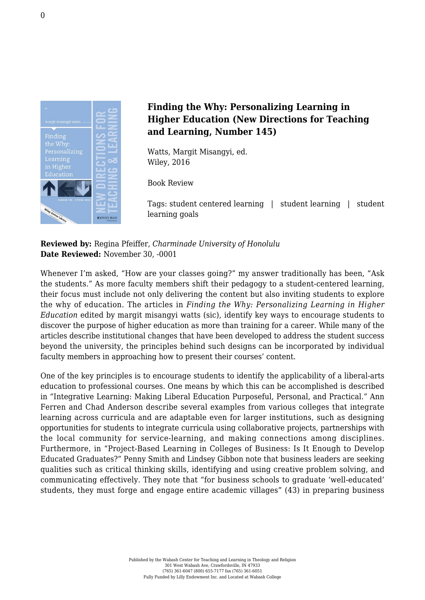

## **Finding the Why: Personalizing Learning in Higher Education (New Directions for Teaching and Learning, Number 145)**

Watts, Margit Misangyi, ed. [Wiley, 2016](http://www.wiley.com/WileyCDA/WileyTitle/productCd-1119254183.html)

Book Review

Tags: student centered learning | student learning | student learning goals

**Reviewed by:** Regina Pfeiffer, *Charminade University of Honolulu* **Date Reviewed:** November 30, -0001

Whenever I'm asked, "How are your classes going?" my answer traditionally has been, "Ask the students." As more faculty members shift their pedagogy to a student-centered learning, their focus must include not only delivering the content but also inviting students to explore the why of education. The articles in *Finding the Why: Personalizing Learning in Higher Education* edited by margit misangyi watts (sic), identify key ways to encourage students to discover the purpose of higher education as more than training for a career. While many of the articles describe institutional changes that have been developed to address the student success beyond the university, the principles behind such designs can be incorporated by individual faculty members in approaching how to present their courses' content.

One of the key principles is to encourage students to identify the applicability of a liberal-arts education to professional courses. One means by which this can be accomplished is described in "Integrative Learning: Making Liberal Education Purposeful, Personal, and Practical." Ann Ferren and Chad Anderson describe several examples from various colleges that integrate learning across curricula and are adaptable even for larger institutions, such as designing opportunities for students to integrate curricula using collaborative projects, partnerships with the local community for service-learning, and making connections among disciplines. Furthermore, in "Project-Based Learning in Colleges of Business: Is It Enough to Develop Educated Graduates?" Penny Smith and Lindsey Gibbon note that business leaders are seeking qualities such as critical thinking skills, identifying and using creative problem solving, and communicating effectively. They note that "for business schools to graduate 'well-educated' students, they must forge and engage entire academic villages" (43) in preparing business